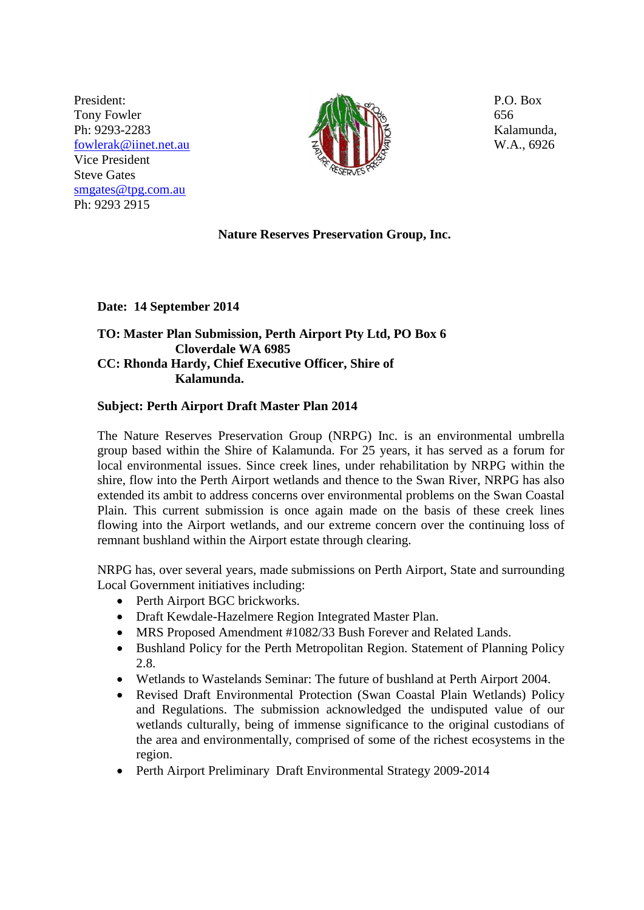President: Tony Fowler Ph: 9293-2283 [fowlerak@iinet.net.au](mailto:fowlerak@iinet.net.au) Vice President Steve Gates [smgates@tpg.com.au](mailto:smgates@tpg.com.au) Ph: 9293 2915



P.O. Box 656 Kalamunda, W.A., 6926

# **Nature Reserves Preservation Group, Inc.**

**Date: 14 September 2014** 

# **TO: Master Plan Submission, Perth Airport Pty Ltd, PO Box 6 Cloverdale WA 6985 CC: Rhonda Hardy, Chief Executive Officer, Shire of Kalamunda.**

# **Subject: Perth Airport Draft Master Plan 2014**

The Nature Reserves Preservation Group (NRPG) Inc. is an environmental umbrella group based within the Shire of Kalamunda. For 25 years, it has served as a forum for local environmental issues. Since creek lines, under rehabilitation by NRPG within the shire, flow into the Perth Airport wetlands and thence to the Swan River, NRPG has also extended its ambit to address concerns over environmental problems on the Swan Coastal Plain. This current submission is once again made on the basis of these creek lines flowing into the Airport wetlands, and our extreme concern over the continuing loss of remnant bushland within the Airport estate through clearing.

NRPG has, over several years, made submissions on Perth Airport, State and surrounding Local Government initiatives including:

- Perth Airport BGC brickworks.
- Draft Kewdale-Hazelmere Region Integrated Master Plan.
- MRS Proposed Amendment #1082/33 Bush Forever and Related Lands.
- Bushland Policy for the Perth Metropolitan Region. Statement of Planning Policy 2.8.
- Wetlands to Wastelands Seminar: The future of bushland at Perth Airport 2004.
- Revised Draft Environmental Protection (Swan Coastal Plain Wetlands) Policy and Regulations. The submission acknowledged the undisputed value of our wetlands culturally, being of immense significance to the original custodians of the area and environmentally, comprised of some of the richest ecosystems in the region.
- Perth Airport Preliminary Draft Environmental Strategy 2009-2014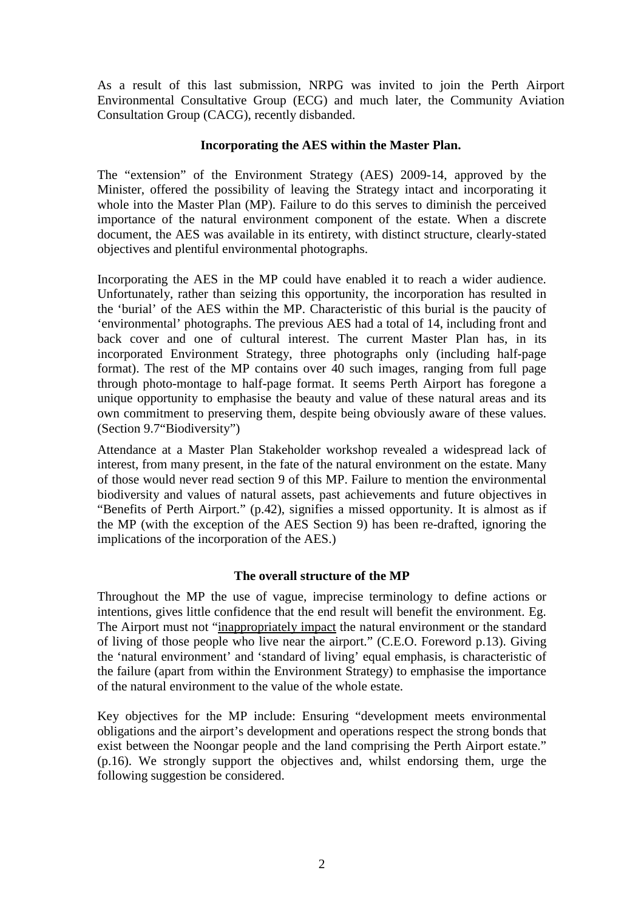As a result of this last submission, NRPG was invited to join the Perth Airport Environmental Consultative Group (ECG) and much later, the Community Aviation Consultation Group (CACG), recently disbanded.

### **Incorporating the AES within the Master Plan.**

The "extension" of the Environment Strategy (AES) 2009-14, approved by the Minister, offered the possibility of leaving the Strategy intact and incorporating it whole into the Master Plan (MP). Failure to do this serves to diminish the perceived importance of the natural environment component of the estate. When a discrete document, the AES was available in its entirety, with distinct structure, clearly-stated objectives and plentiful environmental photographs.

Incorporating the AES in the MP could have enabled it to reach a wider audience. Unfortunately, rather than seizing this opportunity, the incorporation has resulted in the 'burial' of the AES within the MP. Characteristic of this burial is the paucity of 'environmental' photographs. The previous AES had a total of 14, including front and back cover and one of cultural interest. The current Master Plan has, in its incorporated Environment Strategy, three photographs only (including half-page format). The rest of the MP contains over 40 such images, ranging from full page through photo-montage to half-page format. It seems Perth Airport has foregone a unique opportunity to emphasise the beauty and value of these natural areas and its own commitment to preserving them, despite being obviously aware of these values. (Section 9.7"Biodiversity")

Attendance at a Master Plan Stakeholder workshop revealed a widespread lack of interest, from many present, in the fate of the natural environment on the estate. Many of those would never read section 9 of this MP. Failure to mention the environmental biodiversity and values of natural assets, past achievements and future objectives in "Benefits of Perth Airport." (p.42), signifies a missed opportunity. It is almost as if the MP (with the exception of the AES Section 9) has been re-drafted, ignoring the implications of the incorporation of the AES.)

# **The overall structure of the MP**

Throughout the MP the use of vague, imprecise terminology to define actions or intentions, gives little confidence that the end result will benefit the environment. Eg. The Airport must not "inappropriately impact the natural environment or the standard of living of those people who live near the airport." (C.E.O. Foreword p.13). Giving the 'natural environment' and 'standard of living' equal emphasis, is characteristic of the failure (apart from within the Environment Strategy) to emphasise the importance of the natural environment to the value of the whole estate.

Key objectives for the MP include: Ensuring "development meets environmental obligations and the airport's development and operations respect the strong bonds that exist between the Noongar people and the land comprising the Perth Airport estate." (p.16). We strongly support the objectives and, whilst endorsing them, urge the following suggestion be considered.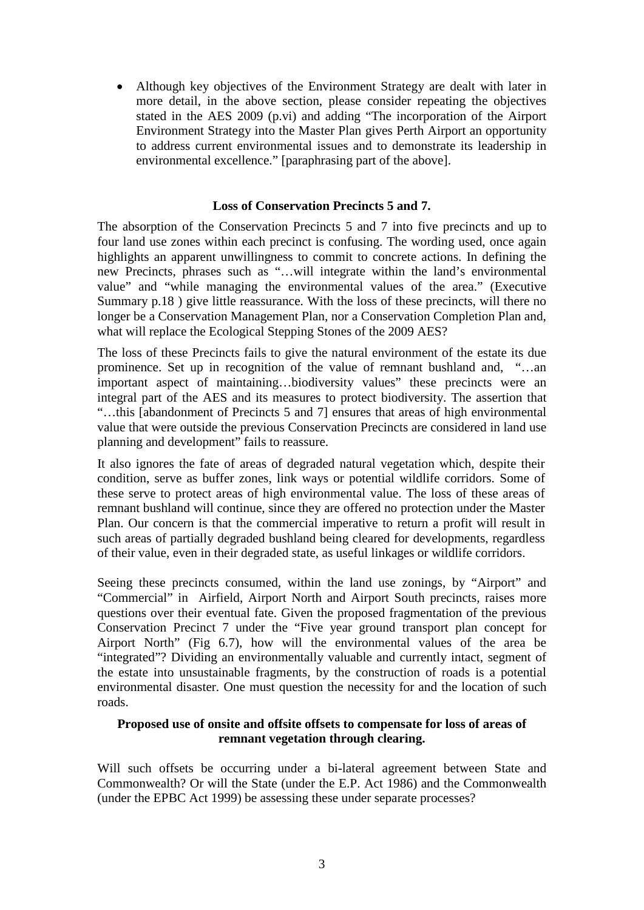• Although key objectives of the Environment Strategy are dealt with later in more detail, in the above section, please consider repeating the objectives stated in the AES 2009 (p.vi) and adding "The incorporation of the Airport Environment Strategy into the Master Plan gives Perth Airport an opportunity to address current environmental issues and to demonstrate its leadership in environmental excellence." [paraphrasing part of the above].

#### **Loss of Conservation Precincts 5 and 7.**

The absorption of the Conservation Precincts 5 and 7 into five precincts and up to four land use zones within each precinct is confusing. The wording used, once again highlights an apparent unwillingness to commit to concrete actions. In defining the new Precincts, phrases such as "…will integrate within the land's environmental value" and "while managing the environmental values of the area." (Executive Summary p.18) give little reassurance. With the loss of these precincts, will there no longer be a Conservation Management Plan, nor a Conservation Completion Plan and, what will replace the Ecological Stepping Stones of the 2009 AES?

The loss of these Precincts fails to give the natural environment of the estate its due prominence. Set up in recognition of the value of remnant bushland and, "…an important aspect of maintaining…biodiversity values" these precincts were an integral part of the AES and its measures to protect biodiversity. The assertion that "…this [abandonment of Precincts 5 and 7] ensures that areas of high environmental value that were outside the previous Conservation Precincts are considered in land use planning and development" fails to reassure.

It also ignores the fate of areas of degraded natural vegetation which, despite their condition, serve as buffer zones, link ways or potential wildlife corridors. Some of these serve to protect areas of high environmental value. The loss of these areas of remnant bushland will continue, since they are offered no protection under the Master Plan. Our concern is that the commercial imperative to return a profit will result in such areas of partially degraded bushland being cleared for developments, regardless of their value, even in their degraded state, as useful linkages or wildlife corridors.

Seeing these precincts consumed, within the land use zonings, by "Airport" and "Commercial" in Airfield, Airport North and Airport South precincts, raises more questions over their eventual fate. Given the proposed fragmentation of the previous Conservation Precinct 7 under the "Five year ground transport plan concept for Airport North" (Fig 6.7), how will the environmental values of the area be "integrated"? Dividing an environmentally valuable and currently intact, segment of the estate into unsustainable fragments, by the construction of roads is a potential environmental disaster. One must question the necessity for and the location of such roads.

### **Proposed use of onsite and offsite offsets to compensate for loss of areas of remnant vegetation through clearing.**

Will such offsets be occurring under a bi-lateral agreement between State and Commonwealth? Or will the State (under the E.P. Act 1986) and the Commonwealth (under the EPBC Act 1999) be assessing these under separate processes?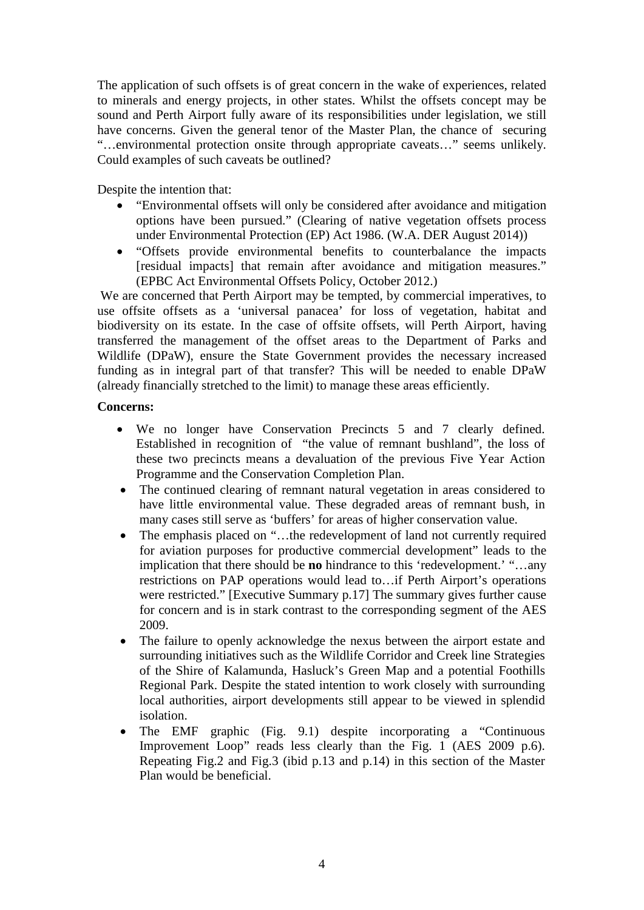The application of such offsets is of great concern in the wake of experiences, related to minerals and energy projects, in other states. Whilst the offsets concept may be sound and Perth Airport fully aware of its responsibilities under legislation, we still have concerns. Given the general tenor of the Master Plan, the chance of securing "…environmental protection onsite through appropriate caveats…" seems unlikely. Could examples of such caveats be outlined?

Despite the intention that:

- "Environmental offsets will only be considered after avoidance and mitigation options have been pursued." (Clearing of native vegetation offsets process under Environmental Protection (EP) Act 1986. (W.A. DER August 2014))
- "Offsets provide environmental benefits to counterbalance the impacts [residual impacts] that remain after avoidance and mitigation measures." (EPBC Act Environmental Offsets Policy, October 2012.)

We are concerned that Perth Airport may be tempted, by commercial imperatives, to use offsite offsets as a 'universal panacea' for loss of vegetation, habitat and biodiversity on its estate. In the case of offsite offsets, will Perth Airport, having transferred the management of the offset areas to the Department of Parks and Wildlife (DPaW), ensure the State Government provides the necessary increased funding as in integral part of that transfer? This will be needed to enable DPaW (already financially stretched to the limit) to manage these areas efficiently.

## **Concerns:**

- We no longer have Conservation Precincts 5 and 7 clearly defined. Established in recognition of "the value of remnant bushland", the loss of these two precincts means a devaluation of the previous Five Year Action Programme and the Conservation Completion Plan.
- The continued clearing of remnant natural vegetation in areas considered to have little environmental value. These degraded areas of remnant bush, in many cases still serve as 'buffers' for areas of higher conservation value.
- The emphasis placed on "...the redevelopment of land not currently required for aviation purposes for productive commercial development" leads to the implication that there should be **no** hindrance to this 'redevelopment.' "…any restrictions on PAP operations would lead to…if Perth Airport's operations were restricted." [Executive Summary p.17] The summary gives further cause for concern and is in stark contrast to the corresponding segment of the AES 2009.
- The failure to openly acknowledge the nexus between the airport estate and surrounding initiatives such as the Wildlife Corridor and Creek line Strategies of the Shire of Kalamunda, Hasluck's Green Map and a potential Foothills Regional Park. Despite the stated intention to work closely with surrounding local authorities, airport developments still appear to be viewed in splendid isolation.
- The EMF graphic (Fig. 9.1) despite incorporating a "Continuous" Improvement Loop" reads less clearly than the Fig. 1 (AES 2009 p.6). Repeating Fig.2 and Fig.3 (ibid p.13 and p.14) in this section of the Master Plan would be beneficial.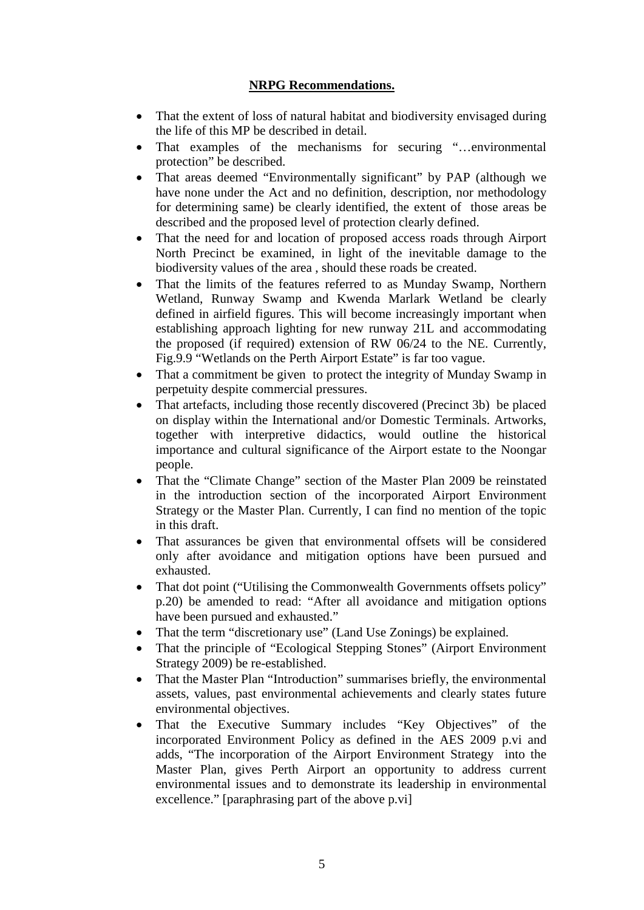## **NRPG Recommendations.**

- That the extent of loss of natural habitat and biodiversity envisaged during the life of this MP be described in detail.
- That examples of the mechanisms for securing "...environmental protection" be described.
- That areas deemed "Environmentally significant" by PAP (although we have none under the Act and no definition, description, nor methodology for determining same) be clearly identified, the extent of those areas be described and the proposed level of protection clearly defined.
- That the need for and location of proposed access roads through Airport North Precinct be examined, in light of the inevitable damage to the biodiversity values of the area , should these roads be created.
- That the limits of the features referred to as Munday Swamp, Northern Wetland, Runway Swamp and Kwenda Marlark Wetland be clearly defined in airfield figures. This will become increasingly important when establishing approach lighting for new runway 21L and accommodating the proposed (if required) extension of RW 06/24 to the NE. Currently, Fig.9.9 "Wetlands on the Perth Airport Estate" is far too vague.
- That a commitment be given to protect the integrity of Munday Swamp in perpetuity despite commercial pressures.
- That artefacts, including those recently discovered (Precinct 3b) be placed on display within the International and/or Domestic Terminals. Artworks, together with interpretive didactics, would outline the historical importance and cultural significance of the Airport estate to the Noongar people.
- That the "Climate Change" section of the Master Plan 2009 be reinstated in the introduction section of the incorporated Airport Environment Strategy or the Master Plan. Currently, I can find no mention of the topic in this draft.
- That assurances be given that environmental offsets will be considered only after avoidance and mitigation options have been pursued and exhausted.
- That dot point ("Utilising the Commonwealth Governments offsets policy" p.20) be amended to read: "After all avoidance and mitigation options have been pursued and exhausted."
- That the term "discretionary use" (Land Use Zonings) be explained.
- That the principle of "Ecological Stepping Stones" (Airport Environment) Strategy 2009) be re-established.
- That the Master Plan "Introduction" summarises briefly, the environmental assets, values, past environmental achievements and clearly states future environmental objectives.
- That the Executive Summary includes "Key Objectives" of the incorporated Environment Policy as defined in the AES 2009 p.vi and adds, "The incorporation of the Airport Environment Strategy into the Master Plan, gives Perth Airport an opportunity to address current environmental issues and to demonstrate its leadership in environmental excellence." [paraphrasing part of the above p.vi]